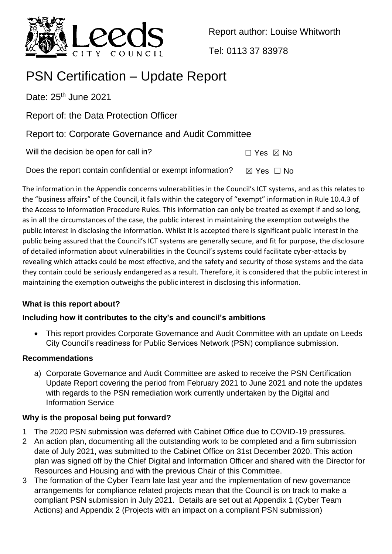

Report author: Louise Whitworth

Tel: 0113 37 83978

# PSN Certification – Update Report

Date:  $25<sup>th</sup>$  June 2021

Report of: the Data Protection Officer

Report to: Corporate Governance and Audit Committee

Will the decision be open for call in?  $\Box$  Yes  $\boxtimes$  No

Does the report contain confidential or exempt information?  $\boxtimes$  Yes  $\Box$  No

The information in the Appendix concerns vulnerabilities in the Council's ICT systems, and as this relates to the "business affairs" of the Council, it falls within the category of "exempt" information in Rule 10.4.3 of the Access to Information Procedure Rules. This information can only be treated as exempt if and so long, as in all the circumstances of the case, the public interest in maintaining the exemption outweighs the public interest in disclosing the information. Whilst it is accepted there is significant public interest in the public being assured that the Council's ICT systems are generally secure, and fit for purpose, the disclosure of detailed information about vulnerabilities in the Council's systems could facilitate cyber-attacks by revealing which attacks could be most effective, and the safety and security of those systems and the data they contain could be seriously endangered as a result. Therefore, it is considered that the public interest in maintaining the exemption outweighs the public interest in disclosing this information.

# **What is this report about?**

# **Including how it contributes to the city's and council's ambitions**

• This report provides Corporate Governance and Audit Committee with an update on Leeds City Council's readiness for Public Services Network (PSN) compliance submission.

# **Recommendations**

a) Corporate Governance and Audit Committee are asked to receive the PSN Certification Update Report covering the period from February 2021 to June 2021 and note the updates with regards to the PSN remediation work currently undertaken by the Digital and Information Service

# **Why is the proposal being put forward?**

- 1 The 2020 PSN submission was deferred with Cabinet Office due to COVID-19 pressures.
- 2 An action plan, documenting all the outstanding work to be completed and a firm submission date of July 2021, was submitted to the Cabinet Office on 31st December 2020. This action plan was signed off by the Chief Digital and Information Officer and shared with the Director for Resources and Housing and with the previous Chair of this Committee.
- 3 The formation of the Cyber Team late last year and the implementation of new governance arrangements for compliance related projects mean that the Council is on track to make a compliant PSN submission in July 2021. Details are set out at Appendix 1 (Cyber Team Actions) and Appendix 2 (Projects with an impact on a compliant PSN submission)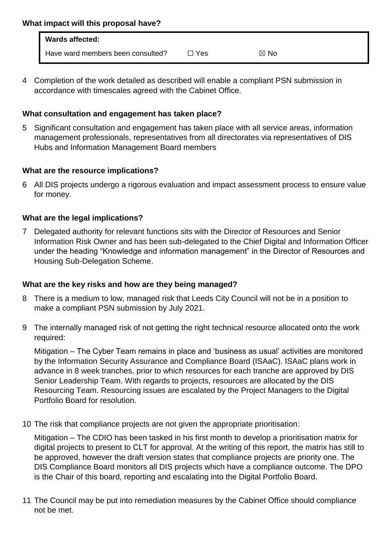| <b>Wards affected:</b>            |       |                |
|-----------------------------------|-------|----------------|
| Have ward members been consulted? | □ Yes | $\boxtimes$ No |

4 Completion of the work detailed as described will enable a compliant PSN submission in accordance with timescales agreed with the Cabinet Office.

#### **What consultation and engagement has taken place?**

5 Significant consultation and engagement has taken place with all service areas, information management professionals, representatives from all directorates via representatives of DIS Hubs and Information Management Board members

## **What are the resource implications?**

6 All DIS projects undergo a rigorous evaluation and impact assessment process to ensure value for money.

## **What are the legal implications?**

7 Delegated authority for relevant functions sits with the Director of Resources and Senior Information Risk Owner and has been sub-delegated to the Chief Digital and Information Officer under the heading "Knowledge and information management" in the Director of Resources and Housing Sub-Delegation Scheme.

#### **What are the key risks and how are they being managed?**

- 8 There is a medium to low, managed risk that Leeds City Council will not be in a position to make a compliant PSN submission by July 2021.
- 9 The internally managed risk of not getting the right technical resource allocated onto the work required:

Mitigation – The Cyber Team remains in place and 'business as usual' activities are monitored by the Information Security Assurance and Compliance Board (ISAaC). ISAaC plans work in advance in 8 week tranches, prior to which resources for each tranche are approved by DIS Senior Leadership Team. With regards to projects, resources are allocated by the DIS Resourcing Team. Resourcing issues are escalated by the Project Managers to the Digital Portfolio Board for resolution.

10 The risk that compliance projects are not given the appropriate prioritisation:

Mitigation – The CDIO has been tasked in his first month to develop a prioritisation matrix for digital projects to present to CLT for approval. At the writing of this report, the matrix has still to be approved, however the draft version states that compliance projects are priority one. The DIS Compliance Board monitors all DIS projects which have a compliance outcome. The DPO is the Chair of this board, reporting and escalating into the Digital Portfolio Board.

11 The Council may be put into remediation measures by the Cabinet Office should compliance not be met.